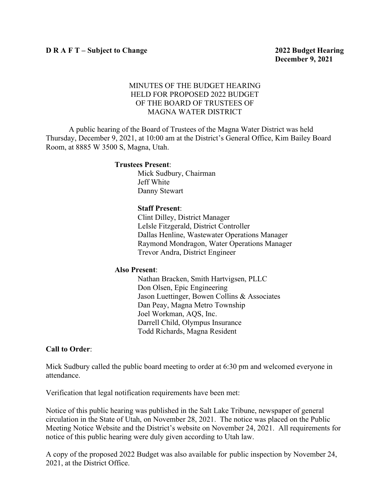## MINUTES OF THE BUDGET HEARING HELD FOR PROPOSED 2022 BUDGET OF THE BOARD OF TRUSTEES OF MAGNA WATER DISTRICT

A public hearing of the Board of Trustees of the Magna Water District was held Thursday, December 9, 2021, at 10:00 am at the District's General Office, Kim Bailey Board Room, at 8885 W 3500 S, Magna, Utah.

#### **Trustees Present**:

Mick Sudbury, Chairman Jeff White Danny Stewart

#### **Staff Present**:

Clint Dilley, District Manager LeIsle Fitzgerald, District Controller Dallas Henline, Wastewater Operations Manager Raymond Mondragon, Water Operations Manager Trevor Andra, District Engineer

#### **Also Present**:

Nathan Bracken, Smith Hartvigsen, PLLC Don Olsen, Epic Engineering Jason Luettinger, Bowen Collins & Associates Dan Peay, Magna Metro Township Joel Workman, AQS, Inc. Darrell Child, Olympus Insurance Todd Richards, Magna Resident

## **Call to Order**:

Mick Sudbury called the public board meeting to order at 6:30 pm and welcomed everyone in attendance.

Verification that legal notification requirements have been met:

Notice of this public hearing was published in the Salt Lake Tribune, newspaper of general circulation in the State of Utah, on November 28, 2021. The notice was placed on the Public Meeting Notice Website and the District's website on November 24, 2021. All requirements for notice of this public hearing were duly given according to Utah law.

A copy of the proposed 2022 Budget was also available for public inspection by November 24, 2021, at the District Office.